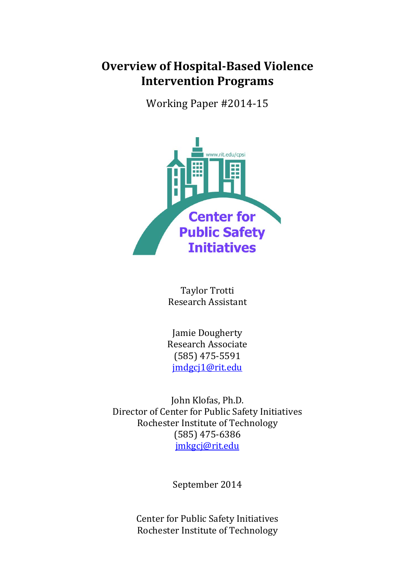# **Overview of Hospital-Based Violence Intervention Programs**

Working Paper #2014-15



Taylor Trotti Research Assistant

Jamie Dougherty Research Associate (585) 475-5591 [jmdgcj1@rit.edu](mailto:jmdgcj1@rit.edu)

John Klofas, Ph.D. Director of Center for Public Safety Initiatives Rochester Institute of Technology (585) 475-6386 [jmkgcj@rit.edu](mailto:jmkgcj@rit.edu)

September 2014

Center for Public Safety Initiatives Rochester Institute of Technology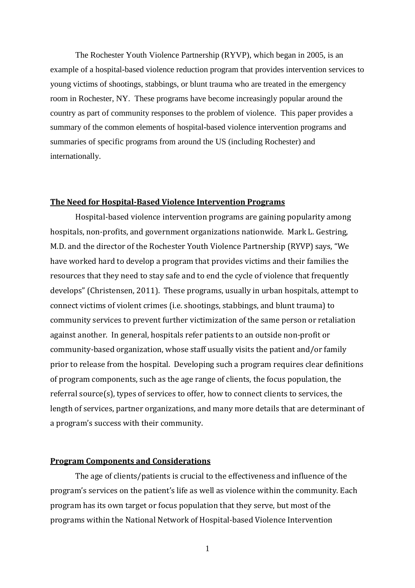The Rochester Youth Violence Partnership (RYVP), which began in 2005, is an example of a hospital-based violence reduction program that provides intervention services to young victims of shootings, stabbings, or blunt trauma who are treated in the emergency room in Rochester, NY. These programs have become increasingly popular around the country as part of community responses to the problem of violence. This paper provides a summary of the common elements of hospital-based violence intervention programs and summaries of specific programs from around the US (including Rochester) and internationally.

#### **The Need for Hospital-Based Violence Intervention Programs**

Hospital-based violence intervention programs are gaining popularity among hospitals, non-profits, and government organizations nationwide. Mark L. Gestring, M.D. and the director of the Rochester Youth Violence Partnership (RYVP) says, "We have worked hard to develop a program that provides victims and their families the resources that they need to stay safe and to end the cycle of violence that frequently develops" (Christensen, 2011). These programs, usually in urban hospitals, attempt to connect victims of violent crimes (i.e. shootings, stabbings, and blunt trauma) to community services to prevent further victimization of the same person or retaliation against another. In general, hospitals refer patients to an outside non-profit or community-based organization, whose staff usually visits the patient and/or family prior to release from the hospital. Developing such a program requires clear definitions of program components, such as the age range of clients, the focus population, the referral source(s), types of services to offer, how to connect clients to services, the length of services, partner organizations, and many more details that are determinant of a program's success with their community.

### **Program Components and Considerations**

The age of clients/patients is crucial to the effectiveness and influence of the program's services on the patient's life as well as violence within the community. Each program has its own target or focus population that they serve, but most of the programs within the National Network of Hospital-based Violence Intervention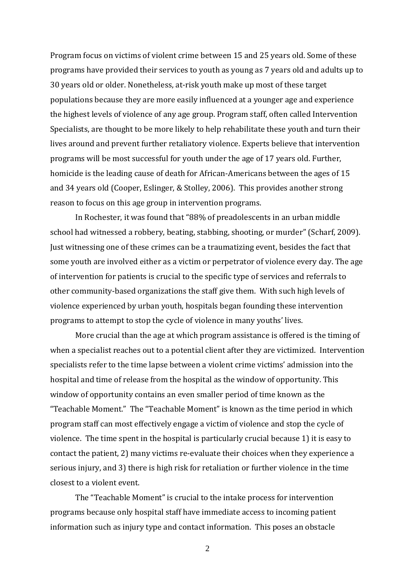Program focus on victims of violent crime between 15 and 25 years old. Some of these programs have provided their services to youth as young as 7 years old and adults up to 30 years old or older. Nonetheless, at-risk youth make up most of these target populations because they are more easily influenced at a younger age and experience the highest levels of violence of any age group. Program staff, often called Intervention Specialists, are thought to be more likely to help rehabilitate these youth and turn their lives around and prevent further retaliatory violence. Experts believe that intervention programs will be most successful for youth under the age of 17 years old. Further, homicide is the leading cause of death for African-Americans between the ages of 15 and 34 years old (Cooper, Eslinger, & Stolley, 2006). This provides another strong reason to focus on this age group in intervention programs.

In Rochester, it was found that "88% of preadolescents in an urban middle school had witnessed a robbery, beating, stabbing, shooting, or murder" (Scharf, 2009). Just witnessing one of these crimes can be a traumatizing event, besides the fact that some youth are involved either as a victim or perpetrator of violence every day. The age of intervention for patients is crucial to the specific type of services and referrals to other community-based organizations the staff give them. With such high levels of violence experienced by urban youth, hospitals began founding these intervention programs to attempt to stop the cycle of violence in many youths' lives.

More crucial than the age at which program assistance is offered is the timing of when a specialist reaches out to a potential client after they are victimized. Intervention specialists refer to the time lapse between a violent crime victims' admission into the hospital and time of release from the hospital as the window of opportunity. This window of opportunity contains an even smaller period of time known as the "Teachable Moment." The "Teachable Moment" is known as the time period in which program staff can most effectively engage a victim of violence and stop the cycle of violence. The time spent in the hospital is particularly crucial because 1) it is easy to contact the patient, 2) many victims re-evaluate their choices when they experience a serious injury, and 3) there is high risk for retaliation or further violence in the time closest to a violent event.

The "Teachable Moment" is crucial to the intake process for intervention programs because only hospital staff have immediate access to incoming patient information such as injury type and contact information. This poses an obstacle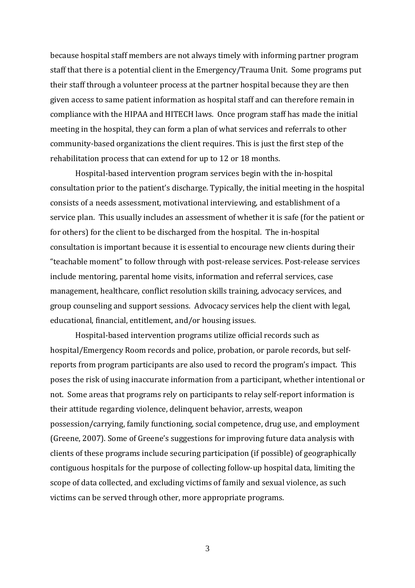because hospital staff members are not always timely with informing partner program staff that there is a potential client in the Emergency/Trauma Unit. Some programs put their staff through a volunteer process at the partner hospital because they are then given access to same patient information as hospital staff and can therefore remain in compliance with the HIPAA and HITECH laws. Once program staff has made the initial meeting in the hospital, they can form a plan of what services and referrals to other community-based organizations the client requires. This is just the first step of the rehabilitation process that can extend for up to 12 or 18 months.

Hospital-based intervention program services begin with the in-hospital consultation prior to the patient's discharge. Typically, the initial meeting in the hospital consists of a needs assessment, motivational interviewing, and establishment of a service plan. This usually includes an assessment of whether it is safe (for the patient or for others) for the client to be discharged from the hospital. The in-hospital consultation is important because it is essential to encourage new clients during their "teachable moment" to follow through with post-release services. Post-release services include mentoring, parental home visits, information and referral services, case management, healthcare, conflict resolution skills training, advocacy services, and group counseling and support sessions. Advocacy services help the client with legal, educational, financial, entitlement, and/or housing issues.

Hospital-based intervention programs utilize official records such as hospital/Emergency Room records and police, probation, or parole records, but selfreports from program participants are also used to record the program's impact. This poses the risk of using inaccurate information from a participant, whether intentional or not. Some areas that programs rely on participants to relay self-report information is their attitude regarding violence, delinquent behavior, arrests, weapon possession/carrying, family functioning, social competence, drug use, and employment (Greene, 2007). Some of Greene's suggestions for improving future data analysis with clients of these programs include securing participation (if possible) of geographically contiguous hospitals for the purpose of collecting follow-up hospital data, limiting the scope of data collected, and excluding victims of family and sexual violence, as such victims can be served through other, more appropriate programs.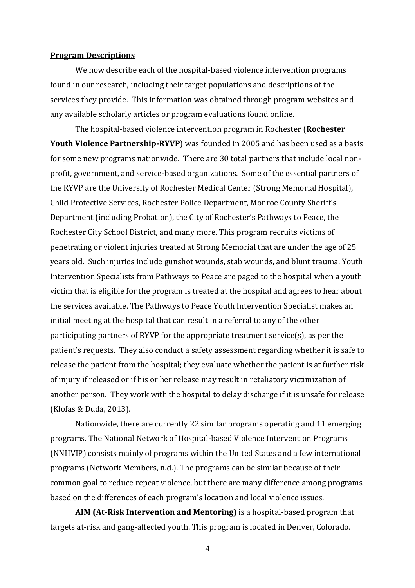#### **Program Descriptions**

We now describe each of the hospital-based violence intervention programs found in our research, including their target populations and descriptions of the services they provide. This information was obtained through program websites and any available scholarly articles or program evaluations found online.

The hospital-based violence intervention program in Rochester (**Rochester Youth Violence Partnership-RYVP**) was founded in 2005 and has been used as a basis for some new programs nationwide. There are 30 total partners that include local nonprofit, government, and service-based organizations. Some of the essential partners of the RYVP are the University of Rochester Medical Center (Strong Memorial Hospital), Child Protective Services, Rochester Police Department, Monroe County Sheriff's Department (including Probation), the City of Rochester's Pathways to Peace, the Rochester City School District, and many more. This program recruits victims of penetrating or violent injuries treated at Strong Memorial that are under the age of 25 years old. Such injuries include gunshot wounds, stab wounds, and blunt trauma. Youth Intervention Specialists from Pathways to Peace are paged to the hospital when a youth victim that is eligible for the program is treated at the hospital and agrees to hear about the services available. The Pathways to Peace Youth Intervention Specialist makes an initial meeting at the hospital that can result in a referral to any of the other participating partners of RYVP for the appropriate treatment service(s), as per the patient's requests. They also conduct a safety assessment regarding whether it is safe to release the patient from the hospital; they evaluate whether the patient is at further risk of injury if released or if his or her release may result in retaliatory victimization of another person. They work with the hospital to delay discharge if it is unsafe for release (Klofas & Duda, 2013).

Nationwide, there are currently 22 similar programs operating and 11 emerging programs. The National Network of Hospital-based Violence Intervention Programs (NNHVIP) consists mainly of programs within the United States and a few international programs (Network Members, n.d.). The programs can be similar because of their common goal to reduce repeat violence, but there are many difference among programs based on the differences of each program's location and local violence issues.

**AIM (At-Risk Intervention and Mentoring)** is a hospital-based program that targets at-risk and gang-affected youth. This program is located in Denver, Colorado.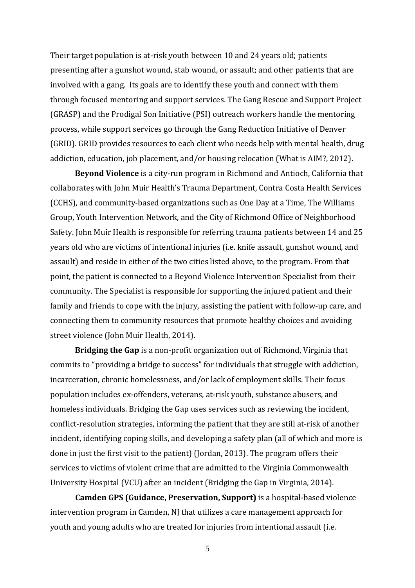Their target population is at-risk youth between 10 and 24 years old; patients presenting after a gunshot wound, stab wound, or assault; and other patients that are involved with a gang. Its goals are to identify these youth and connect with them through focused mentoring and support services. The Gang Rescue and Support Project (GRASP) and the Prodigal Son Initiative (PSI) outreach workers handle the mentoring process, while support services go through the Gang Reduction Initiative of Denver (GRID). GRID provides resources to each client who needs help with mental health, drug addiction, education, job placement, and/or housing relocation (What is AIM?, 2012).

**Beyond Violence** is a city-run program in Richmond and Antioch, California that collaborates with John Muir Health's Trauma Department, Contra Costa Health Services (CCHS), and community-based organizations such as One Day at a Time, The Williams Group, Youth Intervention Network, and the City of Richmond Office of Neighborhood Safety. John Muir Health is responsible for referring trauma patients between 14 and 25 years old who are victims of intentional injuries (i.e. knife assault, gunshot wound, and assault) and reside in either of the two cities listed above, to the program. From that point, the patient is connected to a Beyond Violence Intervention Specialist from their community. The Specialist is responsible for supporting the injured patient and their family and friends to cope with the injury, assisting the patient with follow-up care, and connecting them to community resources that promote healthy choices and avoiding street violence (John Muir Health, 2014).

**Bridging the Gap** is a non-profit organization out of Richmond, Virginia that commits to "providing a bridge to success" for individuals that struggle with addiction, incarceration, chronic homelessness, and/or lack of employment skills. Their focus population includes ex-offenders, veterans, at-risk youth, substance abusers, and homeless individuals. Bridging the Gap uses services such as reviewing the incident, conflict-resolution strategies, informing the patient that they are still at-risk of another incident, identifying coping skills, and developing a safety plan (all of which and more is done in just the first visit to the patient) (Jordan, 2013). The program offers their services to victims of violent crime that are admitted to the Virginia Commonwealth University Hospital (VCU) after an incident (Bridging the Gap in Virginia, 2014).

**Camden GPS (Guidance, Preservation, Support)** is a hospital-based violence intervention program in Camden, NJ that utilizes a care management approach for youth and young adults who are treated for injuries from intentional assault (i.e.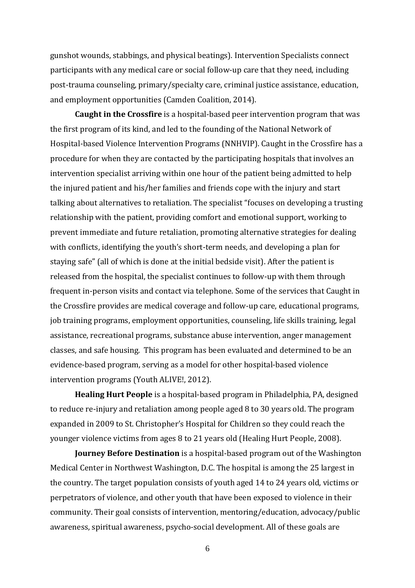gunshot wounds, stabbings, and physical beatings). Intervention Specialists connect participants with any medical care or social follow-up care that they need, including post-trauma counseling, primary/specialty care, criminal justice assistance, education, and employment opportunities (Camden Coalition, 2014).

**Caught in the Crossfire** is a hospital-based peer intervention program that was the first program of its kind, and led to the founding of the National Network of Hospital-based Violence Intervention Programs (NNHVIP). Caught in the Crossfire has a procedure for when they are contacted by the participating hospitals that involves an intervention specialist arriving within one hour of the patient being admitted to help the injured patient and his/her families and friends cope with the injury and start talking about alternatives to retaliation. The specialist "focuses on developing a trusting relationship with the patient, providing comfort and emotional support, working to prevent immediate and future retaliation, promoting alternative strategies for dealing with conflicts, identifying the youth's short-term needs, and developing a plan for staying safe" (all of which is done at the initial bedside visit). After the patient is released from the hospital, the specialist continues to follow-up with them through frequent in-person visits and contact via telephone. Some of the services that Caught in the Crossfire provides are medical coverage and follow-up care, educational programs, job training programs, employment opportunities, counseling, life skills training, legal assistance, recreational programs, substance abuse intervention, anger management classes, and safe housing. This program has been evaluated and determined to be an evidence-based program, serving as a model for other hospital-based violence intervention programs (Youth ALIVE!, 2012).

**Healing Hurt People** is a hospital-based program in Philadelphia, PA, designed to reduce re-injury and retaliation among people aged 8 to 30 years old. The program expanded in 2009 to St. Christopher's Hospital for Children so they could reach the younger violence victims from ages 8 to 21 years old (Healing Hurt People, 2008).

**Journey Before Destination** is a hospital-based program out of the Washington Medical Center in Northwest Washington, D.C. The hospital is among the 25 largest in the country. The target population consists of youth aged 14 to 24 years old, victims or perpetrators of violence, and other youth that have been exposed to violence in their community. Their goal consists of intervention, mentoring/education, advocacy/public awareness, spiritual awareness, psycho-social development. All of these goals are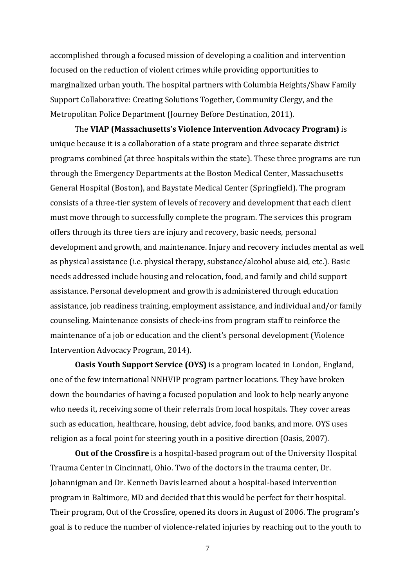accomplished through a focused mission of developing a coalition and intervention focused on the reduction of violent crimes while providing opportunities to marginalized urban youth. The hospital partners with Columbia Heights/Shaw Family Support Collaborative: Creating Solutions Together, Community Clergy, and the Metropolitan Police Department (Journey Before Destination, 2011).

The **VIAP (Massachusetts's Violence Intervention Advocacy Program)** is unique because it is a collaboration of a state program and three separate district programs combined (at three hospitals within the state). These three programs are run through the Emergency Departments at the Boston Medical Center, Massachusetts General Hospital (Boston), and Baystate Medical Center (Springfield). The program consists of a three-tier system of levels of recovery and development that each client must move through to successfully complete the program. The services this program offers through its three tiers are injury and recovery, basic needs, personal development and growth, and maintenance. Injury and recovery includes mental as well as physical assistance (i.e. physical therapy, substance/alcohol abuse aid, etc.). Basic needs addressed include housing and relocation, food, and family and child support assistance. Personal development and growth is administered through education assistance, job readiness training, employment assistance, and individual and/or family counseling. Maintenance consists of check-ins from program staff to reinforce the maintenance of a job or education and the client's personal development (Violence Intervention Advocacy Program, 2014).

**Oasis Youth Support Service (OYS)** is a program located in London, England, one of the few international NNHVIP program partner locations. They have broken down the boundaries of having a focused population and look to help nearly anyone who needs it, receiving some of their referrals from local hospitals. They cover areas such as education, healthcare, housing, debt advice, food banks, and more. OYS uses religion as a focal point for steering youth in a positive direction (Oasis, 2007).

**Out of the Crossfire** is a hospital-based program out of the University Hospital Trauma Center in Cincinnati, Ohio. Two of the doctors in the trauma center, Dr. Johannigman and Dr. Kenneth Davis learned about a hospital-based intervention program in Baltimore, MD and decided that this would be perfect for their hospital. Their program, Out of the Crossfire, opened its doors in August of 2006. The program's goal is to reduce the number of violence-related injuries by reaching out to the youth to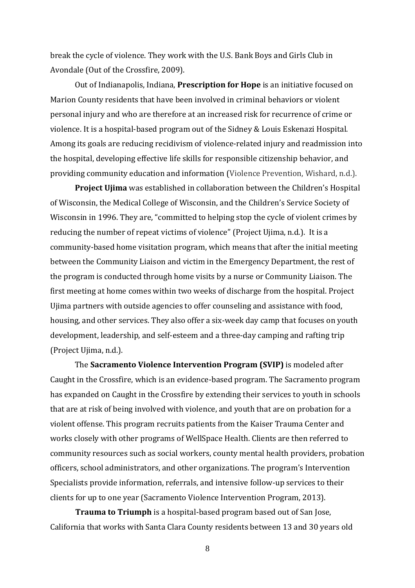break the cycle of violence. They work with the U.S. Bank Boys and Girls Club in Avondale (Out of the Crossfire, 2009).

Out of Indianapolis, Indiana, **Prescription for Hope** is an initiative focused on Marion County residents that have been involved in criminal behaviors or violent personal injury and who are therefore at an increased risk for recurrence of crime or violence. It is a hospital-based program out of the Sidney & Louis Eskenazi Hospital. Among its goals are reducing recidivism of violence-related injury and readmission into the hospital, developing effective life skills for responsible citizenship behavior, and providing community education and information (Violence Prevention, Wishard, n.d.).

**Project Ujima** was established in collaboration between the Children's Hospital of Wisconsin, the Medical College of Wisconsin, and the Children's Service Society of Wisconsin in 1996. They are, "committed to helping stop the cycle of violent crimes by reducing the number of repeat victims of violence" (Project Ujima, n.d.). It is a community-based home visitation program, which means that after the initial meeting between the Community Liaison and victim in the Emergency Department, the rest of the program is conducted through home visits by a nurse or Community Liaison. The first meeting at home comes within two weeks of discharge from the hospital. Project Ujima partners with outside agencies to offer counseling and assistance with food, housing, and other services. They also offer a six-week day camp that focuses on youth development, leadership, and self-esteem and a three-day camping and rafting trip (Project Ujima, n.d.).

The **Sacramento Violence Intervention Program (SVIP)** is modeled after Caught in the Crossfire, which is an evidence-based program. The Sacramento program has expanded on Caught in the Crossfire by extending their services to youth in schools that are at risk of being involved with violence, and youth that are on probation for a violent offense. This program recruits patients from the Kaiser Trauma Center and works closely with other programs of WellSpace Health. Clients are then referred to community resources such as social workers, county mental health providers, probation officers, school administrators, and other organizations. The program's Intervention Specialists provide information, referrals, and intensive follow-up services to their clients for up to one year (Sacramento Violence Intervention Program, 2013).

**Trauma to Triumph** is a hospital-based program based out of San Jose, California that works with Santa Clara County residents between 13 and 30 years old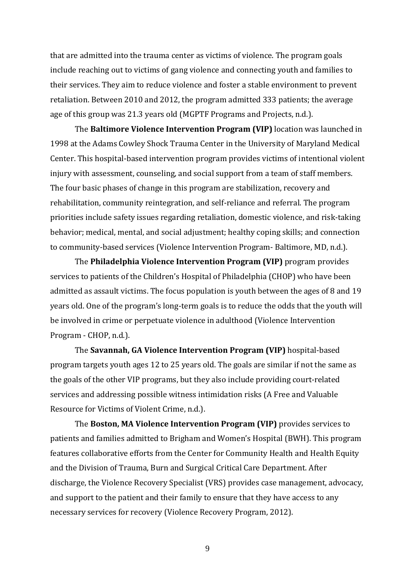that are admitted into the trauma center as victims of violence. The program goals include reaching out to victims of gang violence and connecting youth and families to their services. They aim to reduce violence and foster a stable environment to prevent retaliation. Between 2010 and 2012, the program admitted 333 patients; the average age of this group was 21.3 years old (MGPTF Programs and Projects, n.d.).

The **Baltimore Violence Intervention Program (VIP)** location was launched in 1998 at the Adams Cowley Shock Trauma Center in the University of Maryland Medical Center. This hospital-based intervention program provides victims of intentional violent injury with assessment, counseling, and social support from a team of staff members. The four basic phases of change in this program are stabilization, recovery and rehabilitation, community reintegration, and self-reliance and referral. The program priorities include safety issues regarding retaliation, domestic violence, and risk-taking behavior; medical, mental, and social adjustment; healthy coping skills; and connection to community-based services (Violence Intervention Program- Baltimore, MD, n.d.).

The **Philadelphia Violence Intervention Program (VIP)** program provides services to patients of the Children's Hospital of Philadelphia (CHOP) who have been admitted as assault victims. The focus population is youth between the ages of 8 and 19 years old. One of the program's long-term goals is to reduce the odds that the youth will be involved in crime or perpetuate violence in adulthood (Violence Intervention Program - CHOP, n.d.).

The **Savannah, GA Violence Intervention Program (VIP)** hospital-based program targets youth ages 12 to 25 years old. The goals are similar if not the same as the goals of the other VIP programs, but they also include providing court-related services and addressing possible witness intimidation risks (A Free and Valuable Resource for Victims of Violent Crime, n.d.).

The **Boston, MA Violence Intervention Program (VIP)** provides services to patients and families admitted to Brigham and Women's Hospital (BWH). This program features collaborative efforts from the Center for Community Health and Health Equity and the Division of Trauma, Burn and Surgical Critical Care Department. After discharge, the Violence Recovery Specialist (VRS) provides case management, advocacy, and support to the patient and their family to ensure that they have access to any necessary services for recovery (Violence Recovery Program, 2012).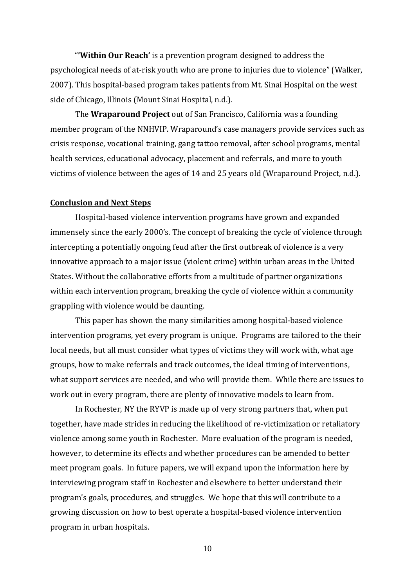"**'Within Our Reach'** is a prevention program designed to address the psychological needs of at-risk youth who are prone to injuries due to violence" (Walker, 2007). This hospital-based program takes patients from Mt. Sinai Hospital on the west side of Chicago, Illinois (Mount Sinai Hospital, n.d.).

The **Wraparound Project** out of San Francisco, California was a founding member program of the NNHVIP. Wraparound's case managers provide services such as crisis response, vocational training, gang tattoo removal, after school programs, mental health services, educational advocacy, placement and referrals, and more to youth victims of violence between the ages of 14 and 25 years old (Wraparound Project, n.d.).

## **Conclusion and Next Steps**

Hospital-based violence intervention programs have grown and expanded immensely since the early 2000's. The concept of breaking the cycle of violence through intercepting a potentially ongoing feud after the first outbreak of violence is a very innovative approach to a major issue (violent crime) within urban areas in the United States. Without the collaborative efforts from a multitude of partner organizations within each intervention program, breaking the cycle of violence within a community grappling with violence would be daunting.

This paper has shown the many similarities among hospital-based violence intervention programs, yet every program is unique. Programs are tailored to the their local needs, but all must consider what types of victims they will work with, what age groups, how to make referrals and track outcomes, the ideal timing of interventions, what support services are needed, and who will provide them. While there are issues to work out in every program, there are plenty of innovative models to learn from.

In Rochester, NY the RYVP is made up of very strong partners that, when put together, have made strides in reducing the likelihood of re-victimization or retaliatory violence among some youth in Rochester. More evaluation of the program is needed, however, to determine its effects and whether procedures can be amended to better meet program goals. In future papers, we will expand upon the information here by interviewing program staff in Rochester and elsewhere to better understand their program's goals, procedures, and struggles. We hope that this will contribute to a growing discussion on how to best operate a hospital-based violence intervention program in urban hospitals.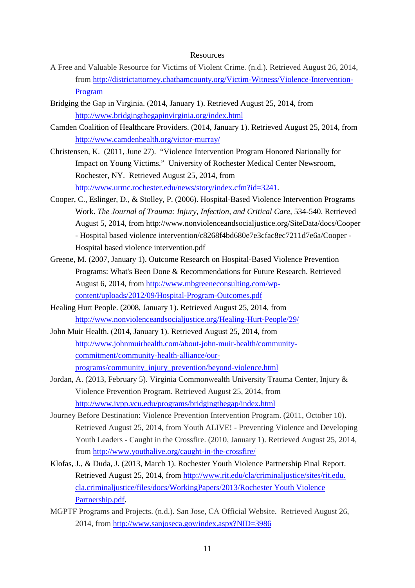#### Resources

- A Free and Valuable Resource for Victims of Violent Crime. (n.d.). Retrieved August 26, 2014, from [http://districtattorney.chathamcounty.org/Victim-Witness/Violence-Intervention-](http://districtattorney.chathamcounty.org/Victim-Witness/Violence-Intervention-Program)[Program](http://districtattorney.chathamcounty.org/Victim-Witness/Violence-Intervention-Program)
- Bridging the Gap in Virginia. (2014, January 1). Retrieved August 25, 2014, from <http://www.bridgingthegapinvirginia.org/index.html>
- Camden Coalition of Healthcare Providers. (2014, January 1). Retrieved August 25, 2014, from <http://www.camdenhealth.org/victor-murray/>
- Christensen, K. (2011, June 27). "Violence Intervention Program Honored Nationally for Impact on Young Victims." University of Rochester Medical Center Newsroom, Rochester, NY. Retrieved August 25, 2014, from [http://www.urmc.rochester.edu/news/story/index.cfm?id=3241.](http://www.urmc.rochester.edu/news/story/index.cfm?id=3241)
- Cooper, C., Eslinger, D., & Stolley, P. (2006). Hospital-Based Violence Intervention Programs Work. *The Journal of Trauma: Injury, Infection, and Critical Care,* 534-540. Retrieved August 5, 2014, from http://www.nonviolenceandsocialjustice.org/SiteData/docs/Cooper - Hospital based violence intervention/c8268f4bd680e7e3cfac8ec7211d7e6a/Cooper - Hospital based violence intervention.pdf
- Greene, M. (2007, January 1). Outcome Research on Hospital-Based Violence Prevention Programs: What's Been Done & Recommendations for Future Research. Retrieved August 6, 2014, from [http://www.mbgreeneconsulting.com/wp](http://www.mbgreeneconsulting.com/wp-content/uploads/2012/09/Hospital-Program-Outcomes.pdf)[content/uploads/2012/09/Hospital-Program-Outcomes.pdf](http://www.mbgreeneconsulting.com/wp-content/uploads/2012/09/Hospital-Program-Outcomes.pdf)
- Healing Hurt People. (2008, January 1). Retrieved August 25, 2014, from <http://www.nonviolenceandsocialjustice.org/Healing-Hurt-People/29/>
- John Muir Health. (2014, January 1). Retrieved August 25, 2014, from [http://www.johnmuirhealth.com/about-john-muir-health/community](http://www.johnmuirhealth.com/about-john-muir-health/community-commitment/community-health-alliance/our-programs/community_injury_prevention/beyond-violence.html)[commitment/community-health-alliance/our](http://www.johnmuirhealth.com/about-john-muir-health/community-commitment/community-health-alliance/our-programs/community_injury_prevention/beyond-violence.html)[programs/community\\_injury\\_prevention/beyond-violence.html](http://www.johnmuirhealth.com/about-john-muir-health/community-commitment/community-health-alliance/our-programs/community_injury_prevention/beyond-violence.html)
- Jordan, A. (2013, February 5). Virginia Commonwealth University Trauma Center, Injury & Violence Prevention Program. Retrieved August 25, 2014, from <http://www.ivpp.vcu.edu/programs/bridgingthegap/index.html>
- Journey Before Destination: Violence Prevention Intervention Program. (2011, October 10). Retrieved August 25, 2014, from Youth ALIVE! - Preventing Violence and Developing Youth Leaders - Caught in the Crossfire. (2010, January 1). Retrieved August 25, 2014, from<http://www.youthalive.org/caught-in-the-crossfire/>
- Klofas, J., & Duda, J. (2013, March 1). Rochester Youth Violence Partnership Final Report. Retrieved August 25, 2014, from [http://www.rit.edu/cla/criminaljustice/sites/rit.edu.](http://www.rit.edu/cla/criminaljustice/sites/rit.edu.%20cla.criminaljustice/files/docs/WorkingPapers/2013/Rochester%20Youth%20Violence%20Partnership.pdf)  [cla.criminaljustice/files/docs/WorkingPapers/2013/Rochester Youth Violence](http://www.rit.edu/cla/criminaljustice/sites/rit.edu.%20cla.criminaljustice/files/docs/WorkingPapers/2013/Rochester%20Youth%20Violence%20Partnership.pdf)  [Partnership.pdf.](http://www.rit.edu/cla/criminaljustice/sites/rit.edu.%20cla.criminaljustice/files/docs/WorkingPapers/2013/Rochester%20Youth%20Violence%20Partnership.pdf)
- MGPTF Programs and Projects. (n.d.). San Jose, CA Official Website. Retrieved August 26, 2014, from<http://www.sanjoseca.gov/index.aspx?NID=3986>